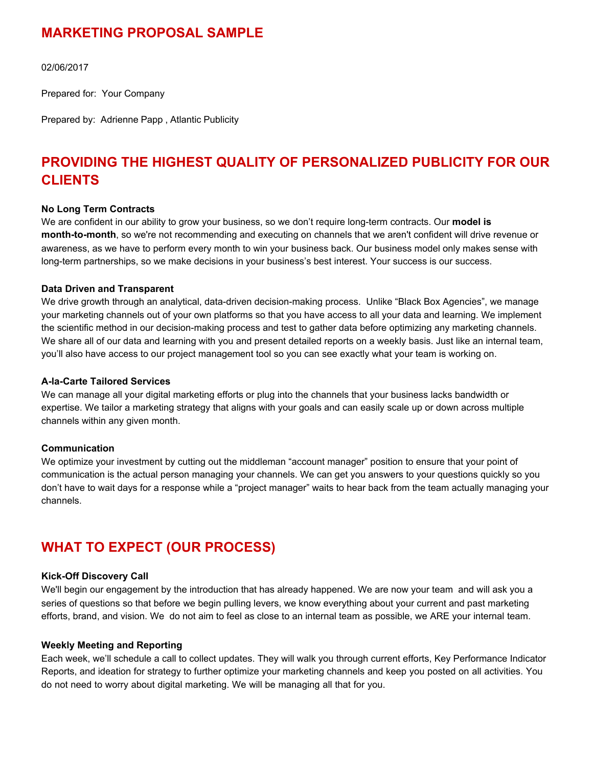## **MARKETING PROPOSAL SAMPLE**

02/06/2017

Prepared for: Your Company

Prepared by: Adrienne Papp , Atlantic Publicity

# **PROVIDING THE HIGHEST QUALITY OF PERSONALIZED PUBLICITY FOR OUR CLIENTS**

#### **No Long Term Contracts**

We are confident in our ability to grow your business, so we don't require long-term contracts. Our **model is month-to-month**, so we're not recommending and executing on channels that we aren't confident will drive revenue or awareness, as we have to perform every month to win your business back. Our business model only makes sense with long-term partnerships, so we make decisions in your business's best interest. Your success is our success.

#### **Data Driven and Transparent**

We drive growth through an analytical, data-driven decision-making process. Unlike "Black Box Agencies", we manage your marketing channels out of your own platforms so that you have access to all your data and learning. We implement the scientific method in our decision-making process and test to gather data before optimizing any marketing channels. We share all of our data and learning with you and present detailed reports on a weekly basis. Just like an internal team, you'll also have access to our project management tool so you can see exactly what your team is working on.

#### **A-la-Carte Tailored Services**

We can manage all your digital marketing efforts or plug into the channels that your business lacks bandwidth or expertise. We tailor a marketing strategy that aligns with your goals and can easily scale up or down across multiple channels within any given month.

#### **Communication**

We optimize your investment by cutting out the middleman "account manager" position to ensure that your point of communication is the actual person managing your channels. We can get you answers to your questions quickly so you don't have to wait days for a response while a "project manager" waits to hear back from the team actually managing your channels.

# **WHAT TO EXPECT (OUR PROCESS)**

#### **Kick-Off Discovery Call**

We'll begin our engagement by the introduction that has already happened. We are now your team and will ask you a series of questions so that before we begin pulling levers, we know everything about your current and past marketing efforts, brand, and vision. We do not aim to feel as close to an internal team as possible, we ARE your internal team.

#### **Weekly Meeting and Reporting**

Each week, we'll schedule a call to collect updates. They will walk you through current efforts, Key Performance Indicator Reports, and ideation for strategy to further optimize your marketing channels and keep you posted on all activities. You do not need to worry about digital marketing. We will be managing all that for you.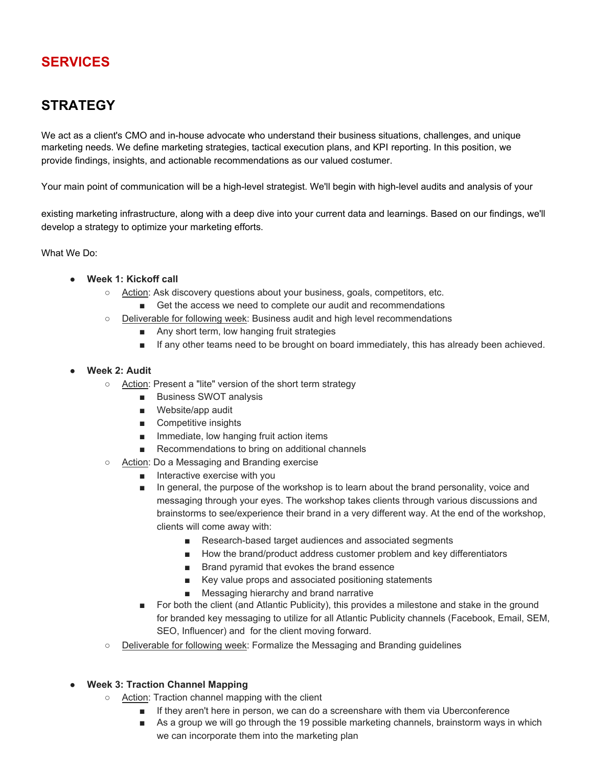# **SERVICES**

# **STRATEGY**

We act as a client's CMO and in-house advocate who understand their business situations, challenges, and unique marketing needs. We define marketing strategies, tactical execution plans, and KPI reporting. In this position, we provide findings, insights, and actionable recommendations as our valued costumer.

Your main point of communication will be a high-level strategist. We'll begin with high-level audits and analysis of your

existing marketing infrastructure, along with a deep dive into your current data and learnings. Based on our findings, we'll develop a strategy to optimize your marketing efforts.

What We Do:

- **Week 1: Kickoff call** 
	- Action: Ask discovery questions about your business, goals, competitors, etc.
		- Get the access we need to complete our audit and recommendations
	- Deliverable for following week: Business audit and high level recommendations
		- Any short term, low hanging fruit strategies
		- If any other teams need to be brought on board immediately, this has already been achieved.
- **Week 2: Audit**
	- Action: Present a "lite" version of the short term strategy
		- Business SWOT analysis
		- Website/app audit
		- Competitive insights
		- Immediate, low hanging fruit action items
		- Recommendations to bring on additional channels
	- Action: Do a Messaging and Branding exercise
		- Interactive exercise with you
		- In general, the purpose of the workshop is to learn about the brand personality, voice and messaging through your eyes. The workshop takes clients through various discussions and brainstorms to see/experience their brand in a very different way. At the end of the workshop, clients will come away with:
			- Research-based target audiences and associated segments
			- How the brand/product address customer problem and key differentiators
			- Brand pyramid that evokes the brand essence
			- Key value props and associated positioning statements
			- Messaging hierarchy and brand narrative
		- For both the client (and Atlantic Publicity), this provides a milestone and stake in the ground for branded key messaging to utilize for all Atlantic Publicity channels (Facebook, Email, SEM, SEO, Influencer) and for the client moving forward.
	- Deliverable for following week: Formalize the Messaging and Branding guidelines
- **Week 3: Traction Channel Mapping** 
	- Action: Traction channel mapping with the client
		- If they aren't here in person, we can do a screenshare with them via Uberconference
		- As a group we will go through the 19 possible marketing channels, brainstorm ways in which we can incorporate them into the marketing plan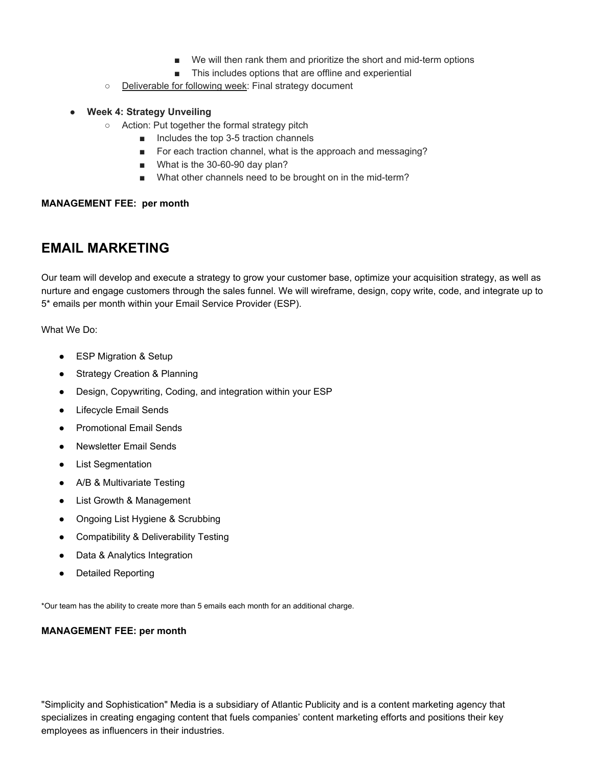- We will then rank them and prioritize the short and mid-term options
- This includes options that are offline and experiential
- Deliverable for following week: Final strategy document

#### **Week 4: Strategy Unveiling**

- Action: Put together the formal strategy pitch
	- Includes the top 3-5 traction channels
	- For each traction channel, what is the approach and messaging?
	- What is the 30-60-90 day plan?
	- What other channels need to be brought on in the mid-term?

#### **MANAGEMENT FEE: per month**

### **EMAIL MARKETING**

Our team will develop and execute a strategy to grow your customer base, optimize your acquisition strategy, as well as nurture and engage customers through the sales funnel. We will wireframe, design, copy write, code, and integrate up to 5\* emails per month within your Email Service Provider (ESP).

What We Do:

- ESP Migration & Setup
- Strategy Creation & Planning
- Design, Copywriting, Coding, and integration within your ESP
- Lifecycle Email Sends
- Promotional Email Sends
- Newsletter Email Sends
- List Segmentation
- A/B & Multivariate Testing
- List Growth & Management
- Ongoing List Hygiene & Scrubbing
- Compatibility & Deliverability Testing
- Data & Analytics Integration
- Detailed Reporting

\*Our team has the ability to create more than 5 emails each month for an additional charge.

#### **MANAGEMENT FEE: per month**

"Simplicity and Sophistication" Media is a subsidiary of Atlantic Publicity and is a content marketing agency that specializes in creating engaging content that fuels companies' content marketing efforts and positions their key employees as influencers in their industries.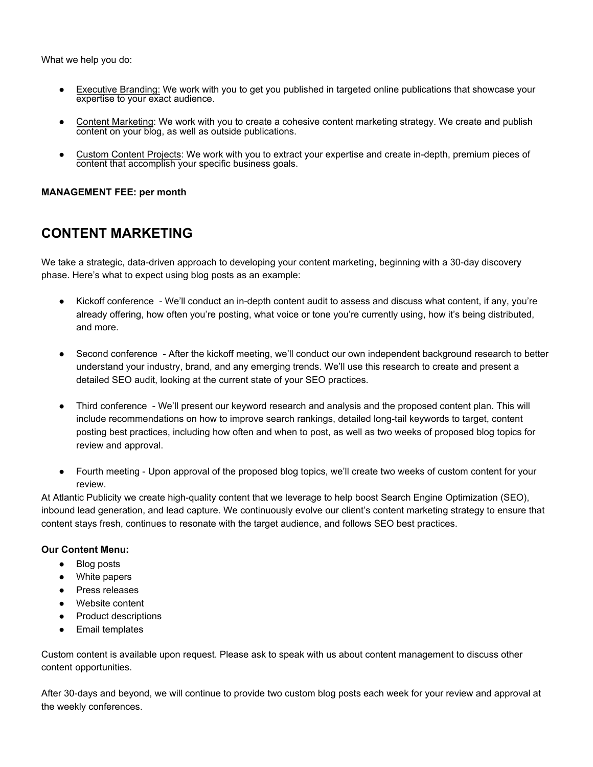What we help you do:

- Executive Branding: We work with you to get you published in targeted online publications that showcase your expertise to your exact audience.
- Content Marketing: We work with you to create a cohesive content marketing strategy. We create and publish content on your blog, as well as outside publications.
- Custom Content Projects: We work with you to extract your expertise and create in-depth, premium pieces of content that accomplish your specific business goals.

#### **MANAGEMENT FEE: per month**

# **CONTENT MARKETING**

We take a strategic, data-driven approach to developing your content marketing, beginning with a 30-day discovery phase. Here's what to expect using blog posts as an example:

- Kickoff conference We'll conduct an in-depth content audit to assess and discuss what content, if any, you're already offering, how often you're posting, what voice or tone you're currently using, how it's being distributed, and more.
- Second conference After the kickoff meeting, we'll conduct our own independent background research to better understand your industry, brand, and any emerging trends. We'll use this research to create and present a detailed SEO audit, looking at the current state of your SEO practices.
- Third conference We'll present our keyword research and analysis and the proposed content plan. This will include recommendations on how to improve search rankings, detailed long-tail keywords to target, content posting best practices, including how often and when to post, as well as two weeks of proposed blog topics for review and approval.
- Fourth meeting Upon approval of the proposed blog topics, we'll create two weeks of custom content for your review.

At Atlantic Publicity we create high-quality content that we leverage to help boost Search Engine Optimization (SEO), inbound lead generation, and lead capture. We continuously evolve our client's content marketing strategy to ensure that content stays fresh, continues to resonate with the target audience, and follows SEO best practices.

#### **Our Content Menu:**

- Blog posts
- White papers
- Press releases
- Website content
- Product descriptions
- Email templates

Custom content is available upon request. Please ask to speak with us about content management to discuss other content opportunities.

After 30-days and beyond, we will continue to provide two custom blog posts each week for your review and approval at the weekly conferences.